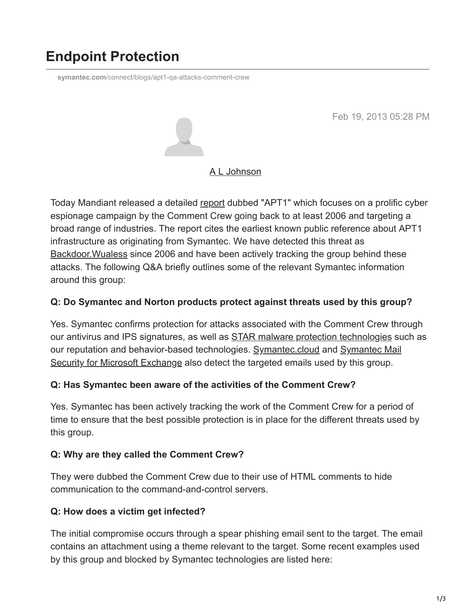# **Endpoint Protection**

**symantec.com**[/connect/blogs/apt1-qa-attacks-comment-crew](https://www.symantec.com/connect/blogs/apt1-qa-attacks-comment-crew)

Feb 19, 2013 05:28 PM



#### [A L Johnson](https://community.broadcom.com/symantecenterprise/network/members/profile?UserKey=cbd453fd-3ce1-4c47-af77-d746256f9bc4)

Today Mandiant released a detailed [report](http://intelreport.mandiant.com/) dubbed "APT1" which focuses on a prolific cyber espionage campaign by the Comment Crew going back to at least 2006 and targeting a broad range of industries. The report cites the earliest known public reference about APT1 infrastructure as originating from Symantec. We have detected this threat as [Backdoor.Wualess](http://www.symantec.com/security_response/writeup.jsp?docid=2006-101116-1723-99) since 2006 and have been actively tracking the group behind these attacks. The following Q&A briefly outlines some of the relevant Symantec information around this group:

#### **Q: Do Symantec and Norton products protect against threats used by this group?**

Yes. Symantec confirms protection for attacks associated with the Comment Crew through our antivirus and IPS signatures, as well as **STAR** malware protection technologies such as [our reputation and behavior-based technologies. S](http://www.symantec.com/mail-security-for-microsoft-exchange)[ymantec.clou](http://www.symantec.com/products-solutions/families/?fid=symantec-cloud)[d and Symantec Mail](http://www.symantec.com/mail-security-for-microsoft-exchange) Security for Microsoft Exchange also detect the targeted emails used by this group.

#### **Q: Has Symantec been aware of the activities of the Comment Crew?**

Yes. Symantec has been actively tracking the work of the Comment Crew for a period of time to ensure that the best possible protection is in place for the different threats used by this group.

#### **Q: Why are they called the Comment Crew?**

They were dubbed the Comment Crew due to their use of HTML comments to hide communication to the command-and-control servers.

#### **Q: How does a victim get infected?**

The initial compromise occurs through a spear phishing email sent to the target. The email contains an attachment using a theme relevant to the target. Some recent examples used by this group and blocked by Symantec technologies are listed here: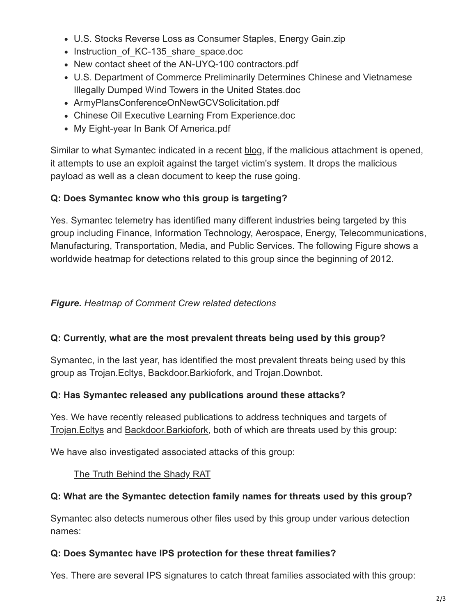- U.S. Stocks Reverse Loss as Consumer Staples, Energy Gain.zip
- Instruction of KC-135 share space.doc
- New contact sheet of the AN-UYQ-100 contractors.pdf
- U.S. Department of Commerce Preliminarily Determines Chinese and Vietnamese Illegally Dumped Wind Towers in the United States.doc
- ArmyPlansConferenceOnNewGCVSolicitation.pdf
- Chinese Oil Executive Learning From Experience.doc
- My Eight-year In Bank Of America.pdf

Similar to what Symantec indicated in a recent [blog,](https://community.broadcom.com/symantecenterprise/viewdocument?DocumentKey=73a35ea9-1a0f-4bff-b4b2-1567d7749ec7&CommunityKey=1ecf5f55-9545-44d6-b0f4-4e4a7f5f5e68&tab=librarydocuments) if the malicious attachment is opened, it attempts to use an exploit against the target victim's system. It drops the malicious payload as well as a clean document to keep the ruse going.

# **Q: Does Symantec know who this group is targeting?**

Yes. Symantec telemetry has identified many different industries being targeted by this group including Finance, Information Technology, Aerospace, Energy, Telecommunications, Manufacturing, Transportation, Media, and Public Services. The following Figure shows a worldwide heatmap for detections related to this group since the beginning of 2012.

## *Figure. Heatmap of Comment Crew related detections*

## **Q: Currently, what are the most prevalent threats being used by this group?**

Symantec, in the last year, has identified the most prevalent threats being used by this group as Trojan. Ecltys, Backdoor. Barkiofork, and Trojan. Downbot.

## **Q: Has Symantec released any publications around these attacks?**

Yes. We have recently released publications to address techniques and targets of Trojan. Ecltys and Backdoor. Barkiofork, both of which are threats used by this group:

We have also investigated associated attacks of this group:

## [The Truth Behind the Shady RAT](http://www.symantec.com/connect/blogs/truth-behind-shady-rat)

# **Q: What are the Symantec detection family names for threats used by this group?**

Symantec also detects numerous other files used by this group under various detection names:

## **Q: Does Symantec have IPS protection for these threat families?**

Yes. There are several IPS signatures to catch threat families associated with this group: